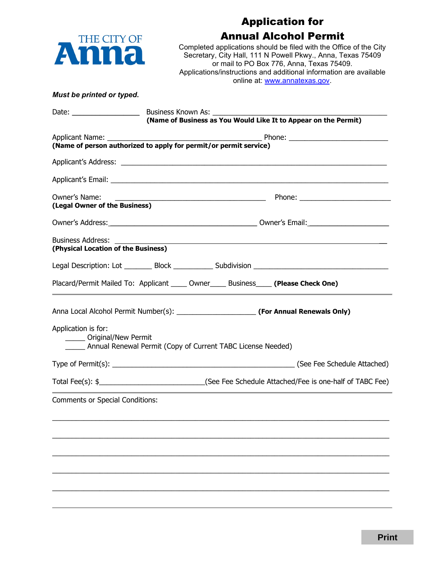

## Application for Annual Alcohol Permit

Completed applications should be filed with the Office of the City Secretary, City Hall, 111 N Powell Pkwy., Anna, Texas 75409 or mail to PO Box 776, Anna, Texas 75409. Applications/instructions and additional information are available online at: [www.annatexas.gov.](http://www.annatexas.gov/)

#### *Must be printed or typed.*

| Date: $\frac{1}{\sqrt{1-\frac{1}{2}}}\frac{1}{\sqrt{1-\frac{1}{2}}}\frac{1}{\sqrt{1-\frac{1}{2}}}\frac{1}{\sqrt{1-\frac{1}{2}}}\frac{1}{\sqrt{1-\frac{1}{2}}}\frac{1}{\sqrt{1-\frac{1}{2}}}\frac{1}{\sqrt{1-\frac{1}{2}}}\frac{1}{\sqrt{1-\frac{1}{2}}}\frac{1}{\sqrt{1-\frac{1}{2}}}\frac{1}{\sqrt{1-\frac{1}{2}}}\frac{1}{\sqrt{1-\frac{1}{2}}}\frac{1}{\sqrt{1-\frac{1}{2}}}\frac{1}{\sqrt{1-\frac{1}{2}}}\frac{1}{\$ | Business Known As: _________                                      |  |                                                                 |                                                                                                           |  |  |
|--------------------------------------------------------------------------------------------------------------------------------------------------------------------------------------------------------------------------------------------------------------------------------------------------------------------------------------------------------------------------------------------------------------------------|-------------------------------------------------------------------|--|-----------------------------------------------------------------|-----------------------------------------------------------------------------------------------------------|--|--|
|                                                                                                                                                                                                                                                                                                                                                                                                                          |                                                                   |  | (Name of Business as You Would Like It to Appear on the Permit) |                                                                                                           |  |  |
| Applicant Name: __________                                                                                                                                                                                                                                                                                                                                                                                               |                                                                   |  |                                                                 |                                                                                                           |  |  |
|                                                                                                                                                                                                                                                                                                                                                                                                                          | (Name of person authorized to apply for permit/or permit service) |  |                                                                 |                                                                                                           |  |  |
|                                                                                                                                                                                                                                                                                                                                                                                                                          |                                                                   |  |                                                                 |                                                                                                           |  |  |
|                                                                                                                                                                                                                                                                                                                                                                                                                          |                                                                   |  |                                                                 |                                                                                                           |  |  |
| Owner's Name:<br>(Legal Owner of the Business)                                                                                                                                                                                                                                                                                                                                                                           |                                                                   |  |                                                                 |                                                                                                           |  |  |
|                                                                                                                                                                                                                                                                                                                                                                                                                          |                                                                   |  |                                                                 |                                                                                                           |  |  |
| Business Address:<br>(Physical Location of the Business)                                                                                                                                                                                                                                                                                                                                                                 |                                                                   |  |                                                                 |                                                                                                           |  |  |
|                                                                                                                                                                                                                                                                                                                                                                                                                          |                                                                   |  |                                                                 | Legal Description: Lot __________ Block _____________ Subdivision _________________________________       |  |  |
| Placard/Permit Mailed To: Applicant _____ Owner _____ Business_____ (Please Check One)                                                                                                                                                                                                                                                                                                                                   |                                                                   |  |                                                                 |                                                                                                           |  |  |
|                                                                                                                                                                                                                                                                                                                                                                                                                          |                                                                   |  |                                                                 |                                                                                                           |  |  |
| Application is for:<br>_____ Original/New Permit<br>Annual Renewal Permit (Copy of Current TABC License Needed)                                                                                                                                                                                                                                                                                                          |                                                                   |  |                                                                 |                                                                                                           |  |  |
|                                                                                                                                                                                                                                                                                                                                                                                                                          |                                                                   |  |                                                                 |                                                                                                           |  |  |
|                                                                                                                                                                                                                                                                                                                                                                                                                          |                                                                   |  |                                                                 | Total Fee(s): \$__________________________________(See Fee Schedule Attached/Fee is one-half of TABC Fee) |  |  |
| <b>Comments or Special Conditions:</b>                                                                                                                                                                                                                                                                                                                                                                                   |                                                                   |  |                                                                 |                                                                                                           |  |  |
|                                                                                                                                                                                                                                                                                                                                                                                                                          |                                                                   |  |                                                                 |                                                                                                           |  |  |
|                                                                                                                                                                                                                                                                                                                                                                                                                          |                                                                   |  |                                                                 |                                                                                                           |  |  |
|                                                                                                                                                                                                                                                                                                                                                                                                                          |                                                                   |  |                                                                 |                                                                                                           |  |  |
|                                                                                                                                                                                                                                                                                                                                                                                                                          |                                                                   |  |                                                                 |                                                                                                           |  |  |
|                                                                                                                                                                                                                                                                                                                                                                                                                          |                                                                   |  |                                                                 |                                                                                                           |  |  |
|                                                                                                                                                                                                                                                                                                                                                                                                                          |                                                                   |  |                                                                 |                                                                                                           |  |  |
|                                                                                                                                                                                                                                                                                                                                                                                                                          |                                                                   |  |                                                                 |                                                                                                           |  |  |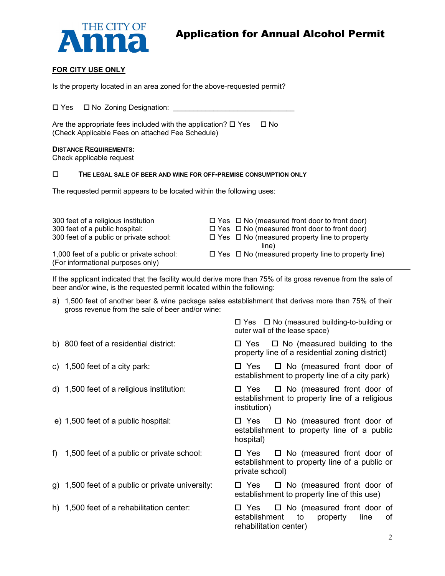

#### **FOR CITY USE ONLY**

Is the property located in an area zoned for the above-requested permit?

□ Yes □ No Zoning Designation: \_\_\_\_\_

Are the appropriate fees included with the application?  $\Box$  Yes  $\Box$  No (Check Applicable Fees on attached Fee Schedule)

#### **DISTANCE REQUIREMENTS:**

Check applicable request

#### **THE LEGAL SALE OF BEER AND WINE FOR OFF-PREMISE CONSUMPTION ONLY**

The requested permit appears to be located within the following uses:

| 300 feet of a religious institution<br>300 feet of a public hospital:          | $\Box$ Yes $\Box$ No (measured front door to front door)<br>$\Box$ Yes $\Box$ No (measured front door to front door) |
|--------------------------------------------------------------------------------|----------------------------------------------------------------------------------------------------------------------|
| 300 feet of a public or private school:                                        | $\Box$ Yes $\Box$ No (measured property line to property                                                             |
|                                                                                | line)                                                                                                                |
| 1,000 feet of a public or private school:<br>(For informational purposes only) | $\Box$ Yes $\Box$ No (measured property line to property line)                                                       |

If the applicant indicated that the facility would derive more than 75% of its gross revenue from the sale of beer and/or wine, is the requested permit located within the following:

a) 1,500 feet of another beer & wine package sales establishment that derives more than 75% of their gross revenue from the sale of beer and/or wine:

|    |                                                  | $\Box$ Yes $\Box$ No (measured building-to-building or<br>outer wall of the lease space)                       |
|----|--------------------------------------------------|----------------------------------------------------------------------------------------------------------------|
|    | b) 800 feet of a residential district:           | $\Box$ Yes $\Box$ No (measured building to the<br>property line of a residential zoning district)              |
|    | c) $1,500$ feet of a city park:                  | $\Box$ Yes $\Box$ No (measured front door of<br>establishment to property line of a city park)                 |
|    | d) 1,500 feet of a religious institution:        | $\Box$ No (measured front door of<br>□ Yes<br>establishment to property line of a religious<br>institution)    |
|    | e) 1,500 feet of a public hospital:              | $\Box$ No (measured front door of<br>□ Yes<br>establishment to property line of a public<br>hospital)          |
| f) | 1,500 feet of a public or private school:        | $\Box$ No (measured front door of<br>□ Yes<br>establishment to property line of a public or<br>private school) |
|    | g) 1,500 feet of a public or private university: | $\Box$ Yes $\Box$ No (measured front door of<br>establishment to property line of this use)                    |
|    | h) 1,500 feet of a rehabilitation center:        | $\Box$ No (measured front door of<br>□ Yes<br>establishment<br>to<br>property<br>οf<br>line                    |

rehabilitation center)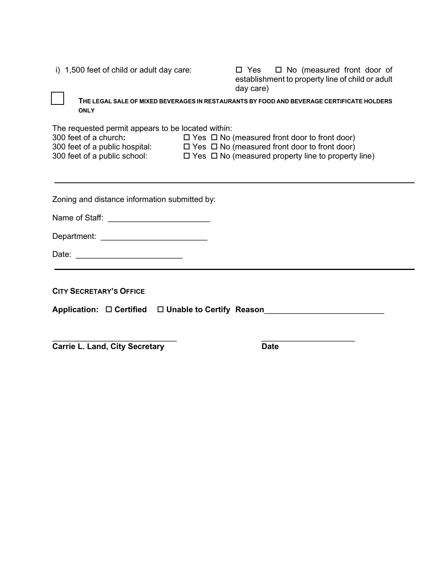i) 1,500 feet of child or adult day care:  $\Box$  Yes  $\Box$  No (measured front door of establishment to property line of child or adult day care)

 **THE LEGAL SALE OF MIXED BEVERAGES IN RESTAURANTS BY FOOD AND BEVERAGE CERTIFICATE HOLDERS ONLY**

The requested permit appears to be located within:

| 300 feet of a church:          | $\Box$ Yes $\Box$ No (measured front door to front door)       |
|--------------------------------|----------------------------------------------------------------|
| 300 feet of a public hospital: | $\Box$ Yes $\Box$ No (measured front door to front door)       |
| 300 feet of a public school:   | $\Box$ Yes $\Box$ No (measured property line to property line) |

Zoning and distance information submitted by:

Name of Staff: \_\_\_\_\_\_\_\_\_\_\_\_\_\_\_\_\_\_\_\_\_\_\_

Department:

Date: \_\_\_\_\_\_\_\_\_\_\_\_\_\_\_\_\_\_\_\_\_\_\_\_

**CITY SECRETARY'S OFFICE**

Application: □ Certified □ Unable to Certify Reason\_\_\_\_\_\_\_\_\_\_\_\_\_\_\_\_\_\_\_\_\_\_\_\_\_\_\_\_\_

 $\overline{\phantom{a}}$  , and the contract of the contract of the contract of the contract of the contract of the contract of the contract of the contract of the contract of the contract of the contract of the contract of the contrac **Carrie L. Land, City Secretary Date Date**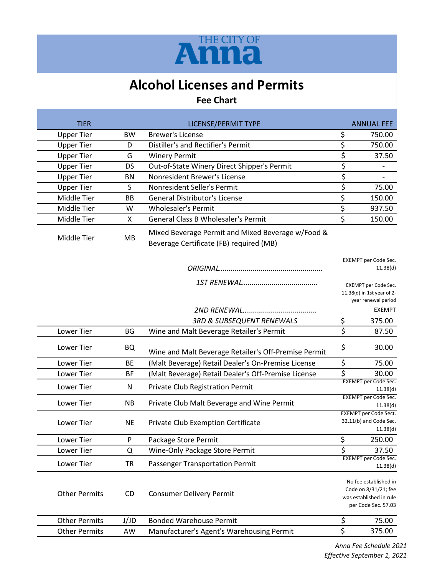

# **Alcohol Licenses and Permits**

### **Fee Chart**

| <b>TIER</b>          |           | LICENSE/PERMIT TYPE                                                                          |                         | <b>ANNUAL FEE</b>                                                                               |
|----------------------|-----------|----------------------------------------------------------------------------------------------|-------------------------|-------------------------------------------------------------------------------------------------|
| <b>Upper Tier</b>    | <b>BW</b> | <b>Brewer's License</b>                                                                      |                         | 750.00                                                                                          |
| <b>Upper Tier</b>    | D         | Distiller's and Rectifier's Permit                                                           |                         | 750.00                                                                                          |
| <b>Upper Tier</b>    | G         | <b>Winery Permit</b>                                                                         |                         | 37.50                                                                                           |
| <b>Upper Tier</b>    | <b>DS</b> | Out-of-State Winery Direct Shipper's Permit                                                  |                         |                                                                                                 |
| <b>Upper Tier</b>    | BN        | Nonresident Brewer's License                                                                 | \$<br>\$                |                                                                                                 |
| <b>Upper Tier</b>    | S         | Nonresident Seller's Permit                                                                  | \$                      | 75.00                                                                                           |
| Middle Tier          | <b>BB</b> | <b>General Distributor's License</b>                                                         | \$                      | 150.00                                                                                          |
| Middle Tier          | W         | <b>Wholesaler's Permit</b>                                                                   | \$                      | 937.50                                                                                          |
| Middle Tier          | X         | <b>General Class B Wholesaler's Permit</b>                                                   | \$                      | 150.00                                                                                          |
| Middle Tier          | MB        | Mixed Beverage Permit and Mixed Beverage w/Food &<br>Beverage Certificate (FB) required (MB) |                         |                                                                                                 |
|                      |           |                                                                                              |                         | EXEMPT per Code Sec.<br>11.38(d)                                                                |
|                      |           |                                                                                              |                         | <b>EXEMPT per Code Sec.</b><br>11.38(d) in 1st year of 2-<br>year renewal period                |
|                      |           |                                                                                              |                         | <b>EXEMPT</b>                                                                                   |
|                      |           | <b>3RD &amp; SUBSEQUENT RENEWALS</b>                                                         | \$                      | 375.00                                                                                          |
| Lower Tier           | <b>BG</b> | Wine and Malt Beverage Retailer's Permit                                                     | $\overline{\mathsf{s}}$ | 87.50                                                                                           |
| Lower Tier           | <b>BQ</b> | Wine and Malt Beverage Retailer's Off-Premise Permit                                         | \$                      | 30.00                                                                                           |
| Lower Tier           | <b>BE</b> | (Malt Beverage) Retail Dealer's On-Premise License                                           | \$                      | 75.00                                                                                           |
| Lower Tier           | <b>BF</b> | (Malt Beverage) Retail Dealer's Off-Premise License                                          | \$                      | 30.00                                                                                           |
| Lower Tier           | N         | Private Club Registration Permit                                                             |                         | <b>EXEMPT</b> per Code Sec.<br>11.38(d)                                                         |
| Lower Tier           | <b>NB</b> | Private Club Malt Beverage and Wine Permit                                                   |                         | <b>EXEMPT</b> per Code Sec.<br>11.38(d)                                                         |
| Lower Tier           | <b>NE</b> | Private Club Exemption Certificate                                                           |                         | <b>EXEMPT</b> per Code Sect.<br>32.11(b) and Code Sec.<br>11.38(d)                              |
| Lower Tier           | ${\sf P}$ | Package Store Permit                                                                         | \$                      | 250.00                                                                                          |
| Lower Tier           | Q         | Wine-Only Package Store Permit                                                               | \$                      | 37.50                                                                                           |
| Lower Tier           | <b>TR</b> | <b>Passenger Transportation Permit</b>                                                       |                         | EXEMPT per Code Sec.<br>11.38(d)                                                                |
| <b>Other Permits</b> | CD        | <b>Consumer Delivery Permit</b>                                                              |                         | No fee established in<br>Code on 8/31/21; fee<br>was established in rule<br>per Code Sec. 57.03 |
| <b>Other Permits</b> | J/JD      | <b>Bonded Warehouse Permit</b>                                                               | \$                      | 75.00                                                                                           |
| <b>Other Permits</b> | AW        | Manufacturer's Agent's Warehousing Permit                                                    | \$                      | 375.00                                                                                          |

*Anna Fee Schedule 2021 Effective September 1, 2021*